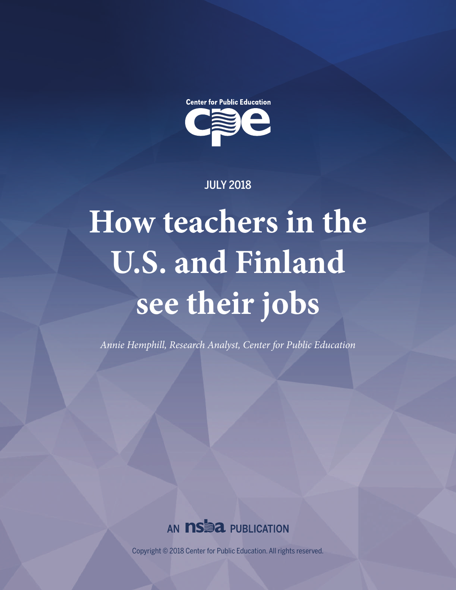

JULY 2018

# **How teachers in the U.S. and Finland see their jobs**

*Annie Hemphill, Research Analyst, Center for Public Education*



Copyright © 2018 Center for Public Education. All rights reserved.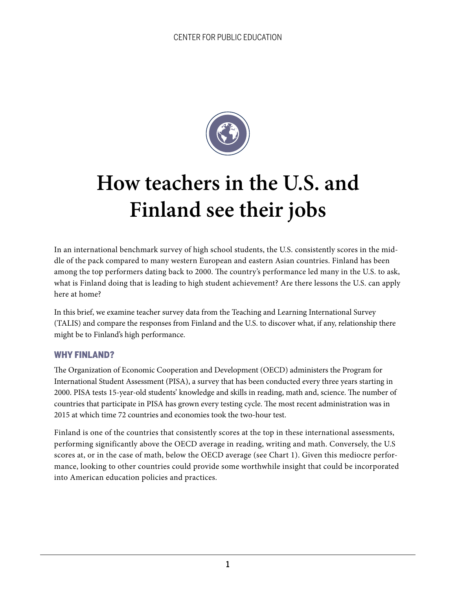

# **How teachers in the U.S. and Finland see their jobs**

In an international benchmark survey of high school students, the U.S. consistently scores in the middle of the pack compared to many western European and eastern Asian countries. Finland has been among the top performers dating back to 2000. The country's performance led many in the U.S. to ask, what is Finland doing that is leading to high student achievement? Are there lessons the U.S. can apply here at home?

In this brief, we examine teacher survey data from the Teaching and Learning International Survey (TALIS) and compare the responses from Finland and the U.S. to discover what, if any, relationship there might be to Finland's high performance.

#### WHY FINLAND?

The Organization of Economic Cooperation and Development (OECD) administers the Program for International Student Assessment (PISA), a survey that has been conducted every three years starting in 2000. PISA tests 15-year-old students' knowledge and skills in reading, math and, science. The number of countries that participate in PISA has grown every testing cycle. The most recent administration was in 2015 at which time 72 countries and economies took the two-hour test.

Finland is one of the countries that consistently scores at the top in these international assessments, performing significantly above the OECD average in reading, writing and math. Conversely, the U.S scores at, or in the case of math, below the OECD average (see Chart 1). Given this mediocre performance, looking to other countries could provide some worthwhile insight that could be incorporated into American education policies and practices.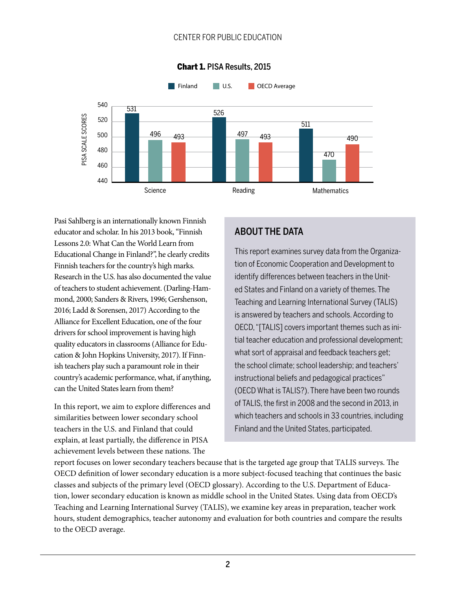

#### Chart 1. PISA Results, 2015

Pasi Sahlberg is an internationally known Finnish educator and scholar. In his 2013 book, "Finnish Lessons 2.0: What Can the World Learn from Educational Change in Finland?", he clearly credits Finnish teachers for the country's high marks. Research in the U.S. has also documented the value of teachers to student achievement. (Darling-Hammond, 2000; Sanders & Rivers, 1996; Gershenson, 2016; Ladd & Sorensen, 2017) According to the Alliance for Excellent Education, one of the four drivers for school improvement is having high quality educators in classrooms (Alliance for Education & John Hopkins University, 2017). If Finnish teachers play such a paramount role in their country's academic performance, what, if anything, can the United States learn from them?

In this report, we aim to explore differences and similarities between lower secondary school teachers in the U.S. and Finland that could explain, at least partially, the difference in PISA achievement levels between these nations. The

# ABOUT THE DATA

This report examines survey data from the Organization of Economic Cooperation and Development to identify differences between teachers in the United States and Finland on a variety of themes. The Teaching and Learning International Survey (TALIS) is answered by teachers and schools. According to OECD, "[TALIS] covers important themes such as initial teacher education and professional development; what sort of appraisal and feedback teachers get; the school climate; school leadership; and teachers' instructional beliefs and pedagogical practices" (OECD What is TALIS?). There have been two rounds of TALIS, the first in 2008 and the second in 2013, in which teachers and schools in 33 countries, including Finland and the United States, participated.

report focuses on lower secondary teachers because that is the targeted age group that TALIS surveys. The OECD definition of lower secondary education is a more subject-focused teaching that continues the basic classes and subjects of the primary level (OECD glossary). According to the U.S. Department of Education, lower secondary education is known as middle school in the United States. Using data from OECD's Teaching and Learning International Survey (TALIS), we examine key areas in preparation, teacher work hours, student demographics, teacher autonomy and evaluation for both countries and compare the results to the OECD average.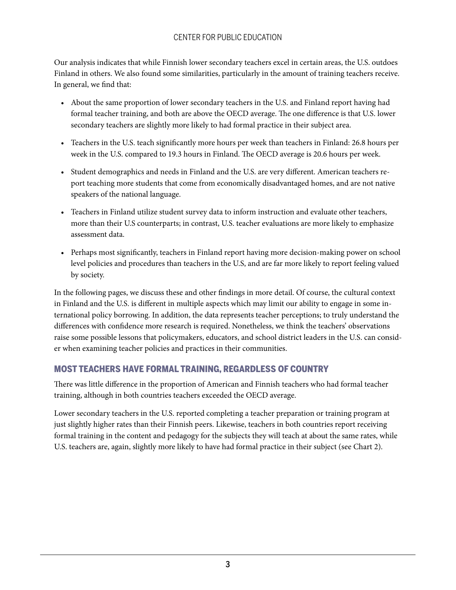Our analysis indicates that while Finnish lower secondary teachers excel in certain areas, the U.S. outdoes Finland in others. We also found some similarities, particularly in the amount of training teachers receive. In general, we find that:

- About the same proportion of lower secondary teachers in the U.S. and Finland report having had formal teacher training, and both are above the OECD average. The one difference is that U.S. lower secondary teachers are slightly more likely to had formal practice in their subject area.
- Teachers in the U.S. teach significantly more hours per week than teachers in Finland: 26.8 hours per week in the U.S. compared to 19.3 hours in Finland. The OECD average is 20.6 hours per week.
- Student demographics and needs in Finland and the U.S. are very different. American teachers report teaching more students that come from economically disadvantaged homes, and are not native speakers of the national language.
- Teachers in Finland utilize student survey data to inform instruction and evaluate other teachers, more than their U.S counterparts; in contrast, U.S. teacher evaluations are more likely to emphasize assessment data.
- Perhaps most significantly, teachers in Finland report having more decision-making power on school level policies and procedures than teachers in the U.S, and are far more likely to report feeling valued by society.

In the following pages, we discuss these and other findings in more detail. Of course, the cultural context in Finland and the U.S. is different in multiple aspects which may limit our ability to engage in some international policy borrowing. In addition, the data represents teacher perceptions; to truly understand the differences with confidence more research is required. Nonetheless, we think the teachers' observations raise some possible lessons that policymakers, educators, and school district leaders in the U.S. can consider when examining teacher policies and practices in their communities.

#### MOST TEACHERS HAVE FORMAL TRAINING, REGARDLESS OF COUNTRY

There was little difference in the proportion of American and Finnish teachers who had formal teacher training, although in both countries teachers exceeded the OECD average.

Lower secondary teachers in the U.S. reported completing a teacher preparation or training program at just slightly higher rates than their Finnish peers. Likewise, teachers in both countries report receiving formal training in the content and pedagogy for the subjects they will teach at about the same rates, while U.S. teachers are, again, slightly more likely to have had formal practice in their subject (see Chart 2).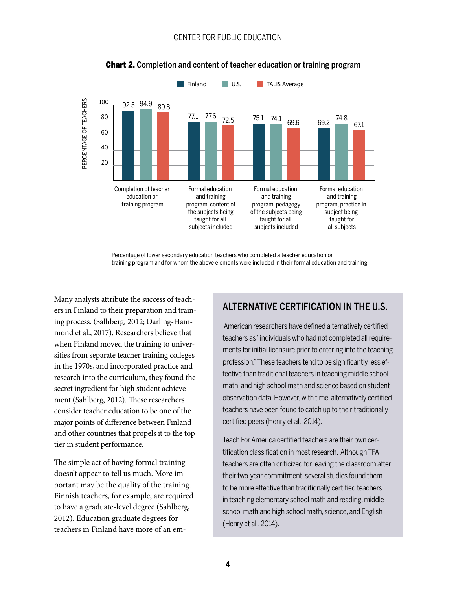

#### Chart 2. Completion and content of teacher education or training program

Percentage of lower secondary education teachers who completed a teacher education or training program and for whom the above elements were included in their formal education and training.

Many analysts attribute the success of teachers in Finland to their preparation and training process. (Salhberg, 2012; Darling-Hammond et al., 2017). Researchers believe that when Finland moved the training to universities from separate teacher training colleges in the 1970s, and incorporated practice and research into the curriculum, they found the secret ingredient for high student achievement (Sahlberg, 2012). These researchers consider teacher education to be one of the major points of difference between Finland and other countries that propels it to the top tier in student performance.

The simple act of having formal training doesn't appear to tell us much. More important may be the quality of the training. Finnish teachers, for example, are required to have a graduate-level degree (Sahlberg, 2012). Education graduate degrees for teachers in Finland have more of an em-

# ALTERNATIVE CERTIFICATION IN THE U.S.

 American researchers have defined alternatively certified teachers as "individuals who had not completed all requirements for initial licensure prior to entering into the teaching profession." These teachers tend to be significantly less effective than traditional teachers in teaching middle school math, and high school math and science based on student observation data. However, with time, alternatively certified teachers have been found to catch up to their traditionally certified peers (Henry et al., 2014).

Teach For America certified teachers are their own certification classification in most research. Although TFA teachers are often criticized for leaving the classroom after their two-year commitment, several studies found them to be more effective than traditionally certified teachers in teaching elementary school math and reading, middle school math and high school math, science, and English (Henry et al., 2014).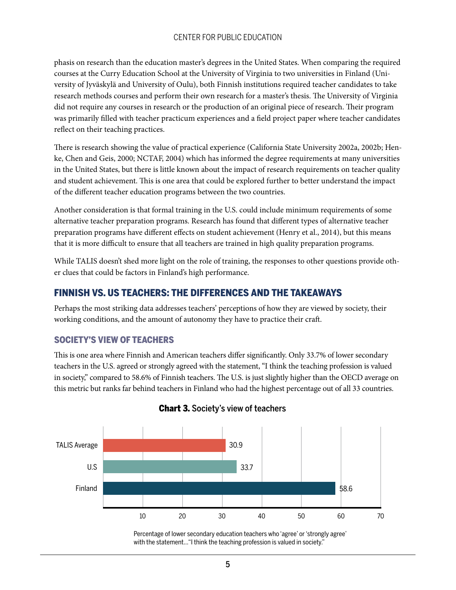phasis on research than the education master's degrees in the United States. When comparing the required courses at the Curry Education School at the University of Virginia to two universities in Finland (University of Jyväskylä and University of Oulu), both Finnish institutions required teacher candidates to take research methods courses and perform their own research for a master's thesis. The University of Virginia did not require any courses in research or the production of an original piece of research. Their program was primarily filled with teacher practicum experiences and a field project paper where teacher candidates reflect on their teaching practices.

There is research showing the value of practical experience (California State University 2002a, 2002b; Henke, Chen and Geis, 2000; NCTAF, 2004) which has informed the degree requirements at many universities in the United States, but there is little known about the impact of research requirements on teacher quality and student achievement. This is one area that could be explored further to better understand the impact of the different teacher education programs between the two countries.

Another consideration is that formal training in the U.S. could include minimum requirements of some alternative teacher preparation programs. Research has found that different types of alternative teacher preparation programs have different effects on student achievement (Henry et al., 2014), but this means that it is more difficult to ensure that all teachers are trained in high quality preparation programs.

While TALIS doesn't shed more light on the role of training, the responses to other questions provide other clues that could be factors in Finland's high performance.

#### FINNISH VS. US TEACHERS: THE DIFFERENCES AND THE TAKEAWAYS

Perhaps the most striking data addresses teachers' perceptions of how they are viewed by society, their working conditions, and the amount of autonomy they have to practice their craft.

#### SOCIETY'S VIEW OF TEACHERS

This is one area where Finnish and American teachers differ significantly. Only 33.7% of lower secondary teachers in the U.S. agreed or strongly agreed with the statement, "I think the teaching profession is valued in society," compared to 58.6% of Finnish teachers. The U.S. is just slightly higher than the OECD average on this metric but ranks far behind teachers in Finland who had the highest percentage out of all 33 countries.



#### **Chart 3.** Society's view of teachers

Percentage of lower secondary education teachers who 'agree' or 'strongly agree' with the statement..."I think the teaching profession is valued in society."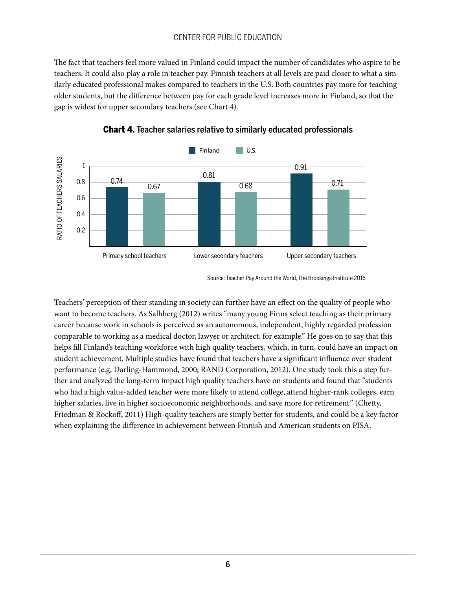The fact that teachers feel more valued in Finland could impact the number of candidates who aspire to be teachers. It could also play a role in teacher pay. Finnish teachers at all levels are paid closer to what a similarly educated professional makes compared to teachers in the U.S. Both countries pay more for teaching older students, but the difference between pay for each grade level increases more in Finland, so that the gap is widest for upper secondary teachers (see Chart 4).





Teachers' perception of their standing in society can further have an effect on the quality of people who want to become teachers. As Salhberg (2012) writes "many young Finns select teaching as their primary career because work in schools is perceived as an autonomous, independent, highly regarded profession comparable to working as a medical doctor, lawyer or architect, for example." He goes on to say that this helps fill Finland's teaching workforce with high quality teachers, which, in turn, could have an impact on student achievement. Multiple studies have found that teachers have a significant influence over student performance (e.g, Darling-Hammond, 2000; RAND Corporation, 2012). One study took this a step further and analyzed the long-term impact high quality teachers have on students and found that "students who had a high value-added teacher were more likely to attend college, attend higher-rank colleges, earn higher salaries, live in higher socioeconomic neighborhoods, and save more for retirement." (Chetty, Friedman & Rockoff, 2011) High-quality teachers are simply better for students, and could be a key factor when explaining the difference in achievement between Finnish and American students on PISA.

Source: Teacher Pay Around the World, The Brookings Institute 2016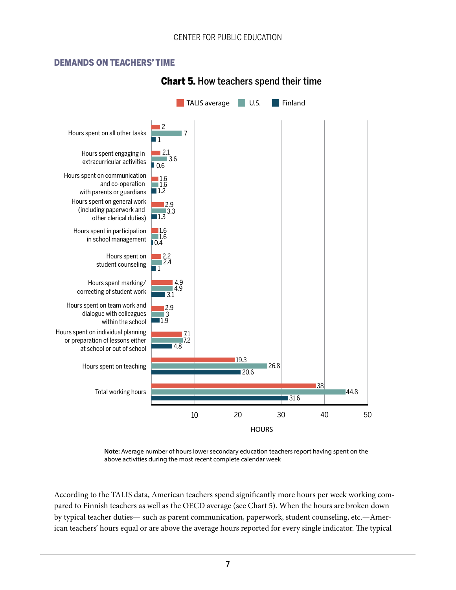#### DEMANDS ON TEACHERS' TIME



# Chart 5. How teachers spend their time

**Note:** Average number of hours lower secondary education teachers report having spent on the above activities during the most recent complete calendar week

According to the TALIS data, American teachers spend significantly more hours per week working compared to Finnish teachers as well as the OECD average (see Chart 5). When the hours are broken down by typical teacher duties— such as parent communication, paperwork, student counseling, etc.—American teachers' hours equal or are above the average hours reported for every single indicator. The typical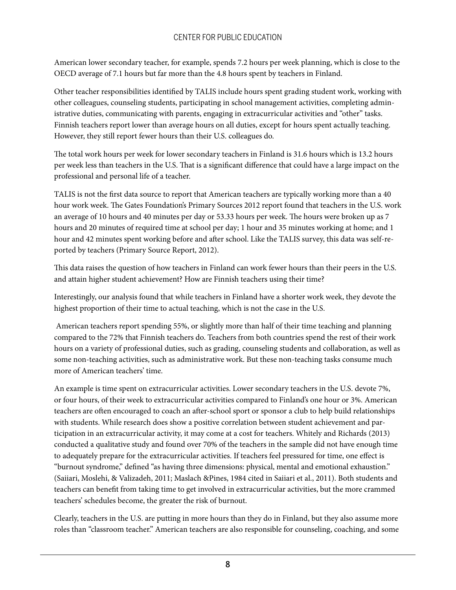American lower secondary teacher, for example, spends 7.2 hours per week planning, which is close to the OECD average of 7.1 hours but far more than the 4.8 hours spent by teachers in Finland.

Other teacher responsibilities identified by TALIS include hours spent grading student work, working with other colleagues, counseling students, participating in school management activities, completing administrative duties, communicating with parents, engaging in extracurricular activities and "other" tasks. Finnish teachers report lower than average hours on all duties, except for hours spent actually teaching. However, they still report fewer hours than their U.S. colleagues do.

The total work hours per week for lower secondary teachers in Finland is 31.6 hours which is 13.2 hours per week less than teachers in the U.S. That is a significant difference that could have a large impact on the professional and personal life of a teacher.

TALIS is not the first data source to report that American teachers are typically working more than a 40 hour work week. The Gates Foundation's Primary Sources 2012 report found that teachers in the U.S. work an average of 10 hours and 40 minutes per day or 53.33 hours per week. The hours were broken up as 7 hours and 20 minutes of required time at school per day; 1 hour and 35 minutes working at home; and 1 hour and 42 minutes spent working before and after school. Like the TALIS survey, this data was self-reported by teachers (Primary Source Report, 2012).

This data raises the question of how teachers in Finland can work fewer hours than their peers in the U.S. and attain higher student achievement? How are Finnish teachers using their time?

Interestingly, our analysis found that while teachers in Finland have a shorter work week, they devote the highest proportion of their time to actual teaching, which is not the case in the U.S.

 American teachers report spending 55%, or slightly more than half of their time teaching and planning compared to the 72% that Finnish teachers do. Teachers from both countries spend the rest of their work hours on a variety of professional duties, such as grading, counseling students and collaboration, as well as some non-teaching activities, such as administrative work. But these non-teaching tasks consume much more of American teachers' time.

An example is time spent on extracurricular activities. Lower secondary teachers in the U.S. devote 7%, or four hours, of their week to extracurricular activities compared to Finland's one hour or 3%. American teachers are often encouraged to coach an after-school sport or sponsor a club to help build relationships with students. While research does show a positive correlation between student achievement and participation in an extracurricular activity, it may come at a cost for teachers. Whitely and Richards (2013) conducted a qualitative study and found over 70% of the teachers in the sample did not have enough time to adequately prepare for the extracurricular activities. If teachers feel pressured for time, one effect is "burnout syndrome," defined "as having three dimensions: physical, mental and emotional exhaustion." (Saiiari, Moslehi, & Valizadeh, 2011; Maslach &Pines, 1984 cited in Saiiari et al., 2011). Both students and teachers can benefit from taking time to get involved in extracurricular activities, but the more crammed teachers' schedules become, the greater the risk of burnout.

Clearly, teachers in the U.S. are putting in more hours than they do in Finland, but they also assume more roles than "classroom teacher." American teachers are also responsible for counseling, coaching, and some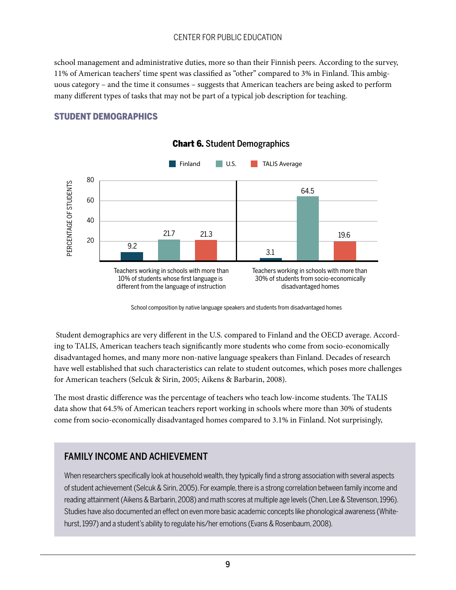school management and administrative duties, more so than their Finnish peers. According to the survey, 11% of American teachers' time spent was classified as "other" compared to 3% in Finland. This ambiguous category – and the time it consumes – suggests that American teachers are being asked to perform many different types of tasks that may not be part of a typical job description for teaching.

#### STUDENT DEMOGRAPHICS



#### Chart 6. Student Demographics

School composition by native language speakers and students from disadvantaged homes

 Student demographics are very different in the U.S. compared to Finland and the OECD average. According to TALIS, American teachers teach significantly more students who come from socio-economically disadvantaged homes, and many more non-native language speakers than Finland. Decades of research have well established that such characteristics can relate to student outcomes, which poses more challenges for American teachers (Selcuk & Sirin, 2005; Aikens & Barbarin, 2008).

The most drastic difference was the percentage of teachers who teach low-income students. The TALIS data show that 64.5% of American teachers report working in schools where more than 30% of students come from socio-economically disadvantaged homes compared to 3.1% in Finland. Not surprisingly,

# FAMILY INCOME AND ACHIEVEMENT

When researchers specifically look at household wealth, they typically find a strong association with several aspects of student achievement (Selcuk & Sirin, 2005). For example, there is a strong correlation between family income and reading attainment (Aikens & Barbarin, 2008) and math scores at multiple age levels (Chen, Lee & Stevenson, 1996). Studies have also documented an effect on even more basic academic concepts like phonological awareness (Whitehurst, 1997) and a student's ability to regulate his/her emotions (Evans & Rosenbaum, 2008).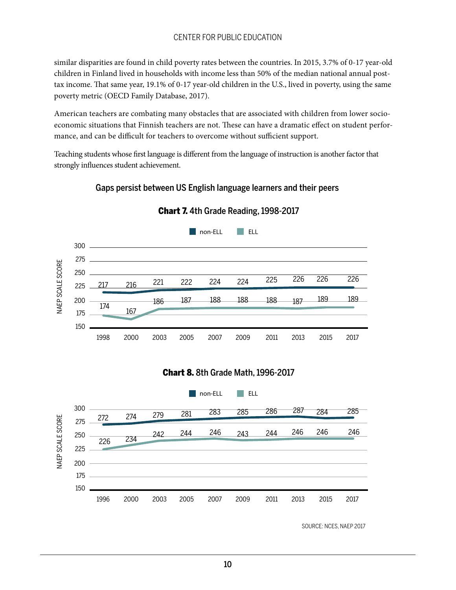similar disparities are found in child poverty rates between the countries. In 2015, 3.7% of 0-17 year-old children in Finland lived in households with income less than 50% of the median national annual posttax income. That same year, 19.1% of 0-17 year-old children in the U.S., lived in poverty, using the same poverty metric (OECD Family Database, 2017).

American teachers are combating many obstacles that are associated with children from lower socioeconomic situations that Finnish teachers are not. These can have a dramatic effect on student performance, and can be difficult for teachers to overcome without sufficient support.

Teaching students whose first language is different from the language of instruction is another factor that strongly influences student achievement.

#### Gaps persist between US English language learners and their peers



Chart 7. 4th Grade Reading, 1998-2017

#### Chart 8. 8th Grade Math, 1996-2017



SOURCE: NCES, NAEP 2017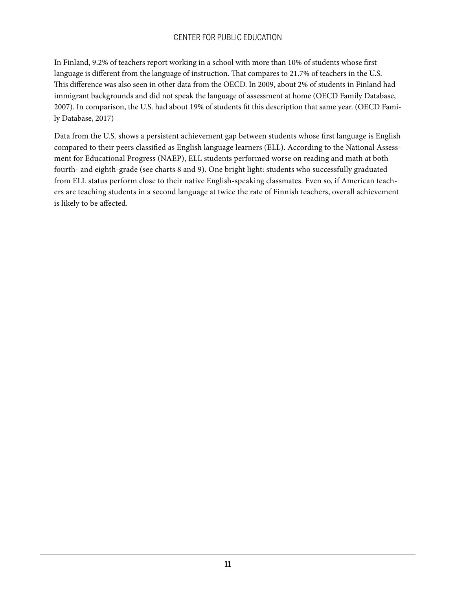In Finland, 9.2% of teachers report working in a school with more than 10% of students whose first language is different from the language of instruction. That compares to 21.7% of teachers in the U.S. This difference was also seen in other data from the OECD. In 2009, about 2% of students in Finland had immigrant backgrounds and did not speak the language of assessment at home (OECD Family Database, 2007). In comparison, the U.S. had about 19% of students fit this description that same year. (OECD Family Database, 2017)

Data from the U.S. shows a persistent achievement gap between students whose first language is English compared to their peers classified as English language learners (ELL). According to the National Assessment for Educational Progress (NAEP), ELL students performed worse on reading and math at both fourth- and eighth-grade (see charts 8 and 9). One bright light: students who successfully graduated from ELL status perform close to their native English-speaking classmates. Even so, if American teachers are teaching students in a second language at twice the rate of Finnish teachers, overall achievement is likely to be affected.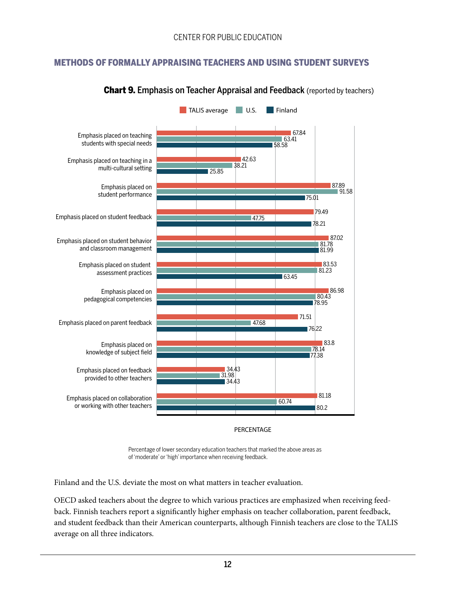### METHODS OF FORMALLY APPRAISING TEACHERS AND USING STUDENT SURVEYS



#### **Chart 9. Emphasis on Teacher Appraisal and Feedback** (reported by teachers)

PERCENTAGE

Percentage of lower secondary education teachers that marked the above areas as of 'moderate' or 'high' importance when receiving feedback.

Finland and the U.S. deviate the most on what matters in teacher evaluation.

OECD asked teachers about the degree to which various practices are emphasized when receiving feedback. Finnish teachers report a significantly higher emphasis on teacher collaboration, parent feedback, and student feedback than their American counterparts, although Finnish teachers are close to the TALIS average on all three indicators.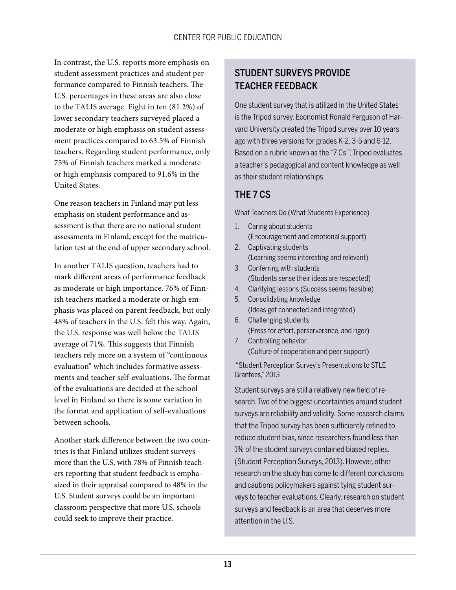In contrast, the U.S. reports more emphasis on student assessment practices and student performance compared to Finnish teachers. The U.S. percentages in these areas are also close to the TALIS average. Eight in ten (81.2%) of lower secondary teachers surveyed placed a moderate or high emphasis on student assessment practices compared to 63.5% of Finnish teachers. Regarding student performance, only 75% of Finnish teachers marked a moderate or high emphasis compared to 91.6% in the United States.

One reason teachers in Finland may put less emphasis on student performance and assessment is that there are no national student assessments in Finland, except for the matriculation test at the end of upper secondary school.

In another TALIS question, teachers had to mark different areas of performance feedback as moderate or high importance. 76% of Finnish teachers marked a moderate or high emphasis was placed on parent feedback, but only 48% of teachers in the U.S. felt this way. Again, the U.S. response was well below the TALIS average of 71%. This suggests that Finnish teachers rely more on a system of "continuous evaluation" which includes formative assessments and teacher self-evaluations. The format of the evaluations are decided at the school level in Finland so there is some variation in the format and application of self-evaluations between schools.

Another stark difference between the two countries is that Finland utilizes student surveys more than the U.S, with 78% of Finnish teachers reporting that student feedback is emphasized in their appraisal compared to 48% in the U.S. Student surveys could be an important classroom perspective that more U.S. schools could seek to improve their practice.

# STUDENT SURVEYS PROVIDE TEACHER FEEDBACK

One student survey that is utilized in the United States is the Tripod survey. Economist Ronald Ferguson of Harvard University created the Tripod survey over 10 years ago with three versions for grades K-2, 3-5 and 6-12. Based on a rubric known as the "7 Cs'", Tripod evaluates a teacher's pedagogical and content knowledge as well as their student relationships.

# THE 7 CS

What Teachers Do (What Students Experience)

- 1. Caring about students (Encouragement and emotional support)
- 2. Captivating students (Learning seems interesting and relevant)
- 3. Conferring with students (Students sense their ideas are respected)
- 4. Clarifying lessons (Success seems feasible)
- 5. Consolidating knowledge (Ideas get connected and integrated)
- 6. Challenging students (Press for effort, perserverance, and rigor) 7. Controlling behavior
- (Culture of cooperation and peer support)

 "Student Perception Survey's Presentations to STLE Grantees," 2013

Student surveys are still a relatively new field of research. Two of the biggest uncertainties around student surveys are reliability and validity. Some research claims that the Tripod survey has been sufficiently refined to reduce student bias, since researchers found less than 1% of the student surveys contained biased replies. (Student Perception Surveys, 2013). However, other research on the study has come to different conclusions and cautions policymakers against tying student surveys to teacher evaluations. Clearly, research on student surveys and feedback is an area that deserves more attention in the U.S.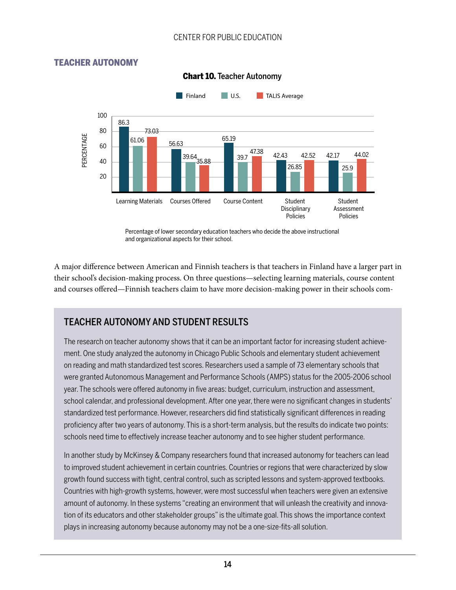#### TEACHER AUTONOMY



#### Chart 10. Teacher Autonomy

Percentage of lower secondary education teachers who decide the above instructional and organizational aspects for their school.

A major difference between American and Finnish teachers is that teachers in Finland have a larger part in their school's decision-making process. On three questions—selecting learning materials, course content and courses offered—Finnish teachers claim to have more decision-making power in their schools com-

### TEACHER AUTONOMY AND STUDENT RESULTS

The research on teacher autonomy shows that it can be an important factor for increasing student achievement. One study analyzed the autonomy in Chicago Public Schools and elementary student achievement on reading and math standardized test scores. Researchers used a sample of 73 elementary schools that were granted Autonomous Management and Performance Schools (AMPS) status for the 2005-2006 school year. The schools were offered autonomy in five areas: budget, curriculum, instruction and assessment, school calendar, and professional development. After one year, there were no significant changes in students' standardized test performance. However, researchers did find statistically significant differences in reading proficiency after two years of autonomy. This is a short-term analysis, but the results do indicate two points: schools need time to effectively increase teacher autonomy and to see higher student performance.

In another study by McKinsey & Company researchers found that increased autonomy for teachers can lead to improved student achievement in certain countries. Countries or regions that were characterized by slow growth found success with tight, central control, such as scripted lessons and system-approved textbooks. Countries with high-growth systems, however, were most successful when teachers were given an extensive amount of autonomy. In these systems "creating an environment that will unleash the creativity and innovation of its educators and other stakeholder groups" is the ultimate goal. This shows the importance context plays in increasing autonomy because autonomy may not be a one-size-fits-all solution.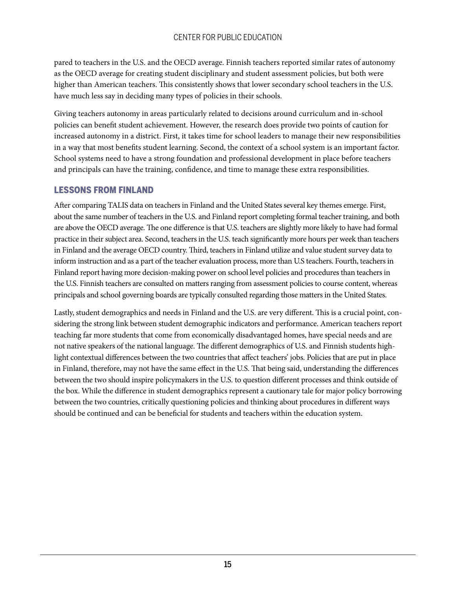pared to teachers in the U.S. and the OECD average. Finnish teachers reported similar rates of autonomy as the OECD average for creating student disciplinary and student assessment policies, but both were higher than American teachers. This consistently shows that lower secondary school teachers in the U.S. have much less say in deciding many types of policies in their schools.

Giving teachers autonomy in areas particularly related to decisions around curriculum and in-school policies can benefit student achievement. However, the research does provide two points of caution for increased autonomy in a district. First, it takes time for school leaders to manage their new responsibilities in a way that most benefits student learning. Second, the context of a school system is an important factor. School systems need to have a strong foundation and professional development in place before teachers and principals can have the training, confidence, and time to manage these extra responsibilities.

#### LESSONS FROM FINLAND

After comparing TALIS data on teachers in Finland and the United States several key themes emerge. First, about the same number of teachers in the U.S. and Finland report completing formal teacher training, and both are above the OECD average. The one difference is that U.S. teachers are slightly more likely to have had formal practice in their subject area. Second, teachers in the U.S. teach significantly more hours per week than teachers in Finland and the average OECD country. Third, teachers in Finland utilize and value student survey data to inform instruction and as a part of the teacher evaluation process, more than U.S teachers. Fourth, teachers in Finland report having more decision-making power on school level policies and procedures than teachers in the U.S. Finnish teachers are consulted on matters ranging from assessment policies to course content, whereas principals and school governing boards are typically consulted regarding those matters in the United States.

Lastly, student demographics and needs in Finland and the U.S. are very different. This is a crucial point, considering the strong link between student demographic indicators and performance. American teachers report teaching far more students that come from economically disadvantaged homes, have special needs and are not native speakers of the national language. The different demographics of U.S. and Finnish students highlight contextual differences between the two countries that affect teachers' jobs. Policies that are put in place in Finland, therefore, may not have the same effect in the U.S. That being said, understanding the differences between the two should inspire policymakers in the U.S. to question different processes and think outside of the box. While the difference in student demographics represent a cautionary tale for major policy borrowing between the two countries, critically questioning policies and thinking about procedures in different ways should be continued and can be beneficial for students and teachers within the education system.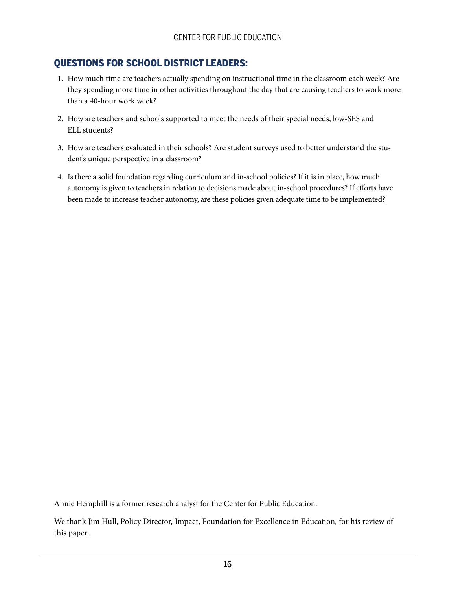# QUESTIONS FOR SCHOOL DISTRICT LEADERS:

- 1. How much time are teachers actually spending on instructional time in the classroom each week? Are they spending more time in other activities throughout the day that are causing teachers to work more than a 40-hour work week?
- 2. How are teachers and schools supported to meet the needs of their special needs, low-SES and ELL students?
- 3. How are teachers evaluated in their schools? Are student surveys used to better understand the student's unique perspective in a classroom?
- 4. Is there a solid foundation regarding curriculum and in-school policies? If it is in place, how much autonomy is given to teachers in relation to decisions made about in-school procedures? If efforts have been made to increase teacher autonomy, are these policies given adequate time to be implemented?

Annie Hemphill is a former research analyst for the Center for Public Education.

We thank Jim Hull, Policy Director, Impact, Foundation for Excellence in Education, for his review of this paper.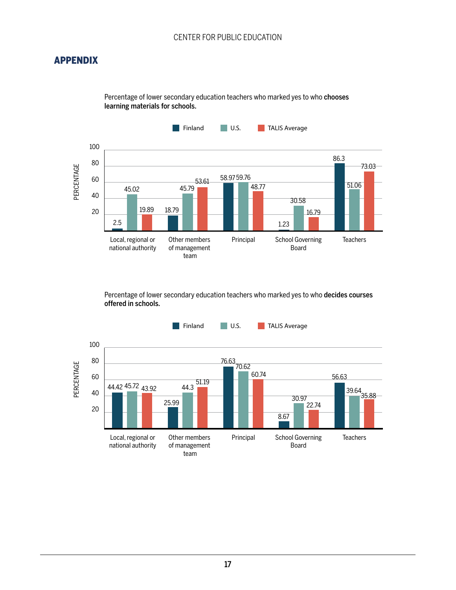# APPENDIX

Percentage of lower secondary education teachers who marked yes to who chooses learning materials for schools.



Percentage of lower secondary education teachers who marked yes to who decides courses offered in schools.

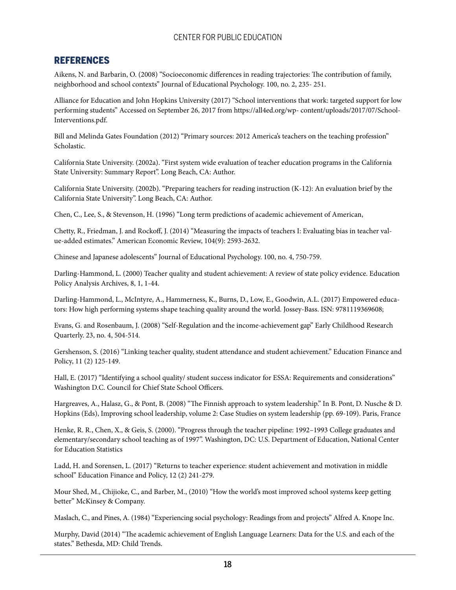#### REFERENCES

Aikens, N. and Barbarin, O. (2008) "Socioeconomic differences in reading trajectories: The contribution of family, neighborhood and school contexts" Journal of Educational Psychology. 100, no. 2, 235- 251.

Alliance for Education and John Hopkins University (2017) "School interventions that work: targeted support for low performing students" Accessed on September 26, 2017 from https://all4ed.org/wp- content/uploads/2017/07/School-Interventions.pdf.

Bill and Melinda Gates Foundation (2012) "Primary sources: 2012 America's teachers on the teaching profession" Scholastic.

California State University. (2002a). "First system wide evaluation of teacher education programs in the California State University: Summary Report". Long Beach, CA: Author.

California State University. (2002b). "Preparing teachers for reading instruction (K-12): An evaluation brief by the California State University". Long Beach, CA: Author.

Chen, C., Lee, S., & Stevenson, H. (1996) "Long term predictions of academic achievement of American,

Chetty, R., Friedman, J. and Rockoff, J. (2014) "Measuring the impacts of teachers I: Evaluating bias in teacher value-added estimates." American Economic Review, 104(9): 2593-2632.

Chinese and Japanese adolescents" Journal of Educational Psychology. 100, no. 4, 750-759.

Darling-Hammond, L. (2000) Teacher quality and student achievement: A review of state policy evidence. Education Policy Analysis Archives, 8, 1, 1-44.

Darling-Hammond, L., McIntyre, A., Hammerness, K., Burns, D., Low, E., Goodwin, A.L. (2017) Empowered educators: How high performing systems shape teaching quality around the world. Jossey-Bass. ISN: 9781119369608;

Evans, G. and Rosenbaum, J. (2008) "Self-Regulation and the income-achievement gap" Early Childhood Research Quarterly. 23, no. 4, 504-514.

Gershenson, S. (2016) "Linking teacher quality, student attendance and student achievement." Education Finance and Policy, 11 (2) 125-149.

Hall, E. (2017) "Identifying a school quality/ student success indicator for ESSA: Requirements and considerations" Washington D.C. Council for Chief State School Officers.

Hargreaves, A., Halasz, G., & Pont, B. (2008) "The Finnish approach to system leadership." In B. Pont, D. Nusche & D. Hopkins (Eds), Improving school leadership, volume 2: Case Studies on system leadership (pp. 69-109). Paris, France

Henke, R. R., Chen, X., & Geis, S. (2000). "Progress through the teacher pipeline: 1992–1993 College graduates and elementary/secondary school teaching as of 1997". Washington, DC: U.S. Department of Education, National Center for Education Statistics

Ladd, H. and Sorensen, L. (2017) "Returns to teacher experience: student achievement and motivation in middle school" Education Finance and Policy, 12 (2) 241-279.

Mour Shed, M., Chijioke, C., and Barber, M., (2010) "How the world's most improved school systems keep getting better" McKinsey & Company.

Maslach, C., and Pines, A. (1984) "Experiencing social psychology: Readings from and projects" Alfred A. Knope Inc.

Murphy, David (2014) "The academic achievement of English Language Learners: Data for the U.S. and each of the states." Bethesda, MD: Child Trends.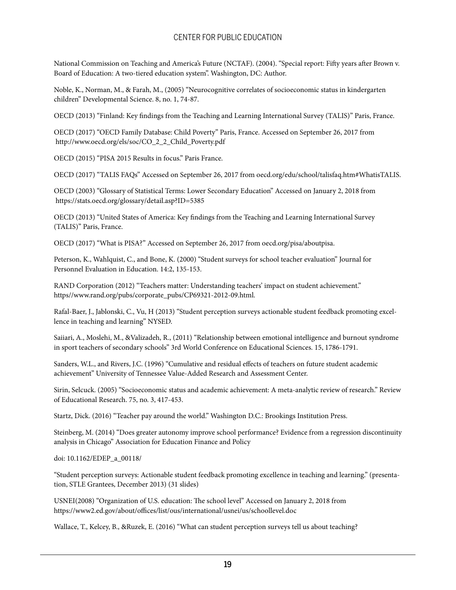National Commission on Teaching and America's Future (NCTAF). (2004). "Special report: Fifty years after Brown v. Board of Education: A two-tiered education system". Washington, DC: Author.

Noble, K., Norman, M., & Farah, M., (2005) "Neurocognitive correlates of socioeconomic status in kindergarten children" Developmental Science. 8, no. 1, 74-87.

OECD (2013) "Finland: Key findings from the Teaching and Learning International Survey (TALIS)" Paris, France.

OECD (2017) "OECD Family Database: Child Poverty" Paris, France. Accessed on September 26, 2017 from http://www.oecd.org/els/soc/CO\_2\_2\_Child\_Poverty.pdf

OECD (2015) "PISA 2015 Results in focus." Paris France.

OECD (2017) "TALIS FAQs" Accessed on September 26, 2017 from oecd.org/edu/school/talisfaq.htm#WhatisTALIS.

OECD (2003) "Glossary of Statistical Terms: Lower Secondary Education" Accessed on January 2, 2018 from https://stats.oecd.org/glossary/detail.asp?ID=5385

OECD (2013) "United States of America: Key findings from the Teaching and Learning International Survey (TALIS)" Paris, France.

OECD (2017) "What is PISA?" Accessed on September 26, 2017 from oecd.org/pisa/aboutpisa.

Peterson, K., Wahlquist, C., and Bone, K. (2000) "Student surveys for school teacher evaluation" Journal for Personnel Evaluation in Education. 14:2, 135-153.

RAND Corporation (2012) "Teachers matter: Understanding teachers' impact on student achievement." https//www.rand.org/pubs/corporate\_pubs/CP69321-2012-09.html.

Rafal-Baer, J., Jablonski, C., Vu, H (2013) "Student perception surveys actionable student feedback promoting excellence in teaching and learning" NYSED.

Saiiari, A., Moslehi, M., &Valizadeh, R., (2011) "Relationship between emotional intelligence and burnout syndrome in sport teachers of secondary schools" 3rd World Conference on Educational Sciences. 15, 1786-1791.

Sanders, W.L., and Rivers, J.C. (1996) "Cumulative and residual effects of teachers on future student academic achievement" University of Tennessee Value-Added Research and Assessment Center.

Sirin, Selcuck. (2005) "Socioeconomic status and academic achievement: A meta-analytic review of research." Review of Educational Research. 75, no. 3, 417-453.

Startz, Dick. (2016) "Teacher pay around the world." Washington D.C.: Brookings Institution Press.

Steinberg, M. (2014) "Does greater autonomy improve school performance? Evidence from a regression discontinuity analysis in Chicago" Association for Education Finance and Policy

doi: 10.1162/EDEP\_a\_00118/

"Student perception surveys: Actionable student feedback promoting excellence in teaching and learning." (presentation, STLE Grantees, December 2013) (31 slides)

USNEI(2008) "Organization of U.S. education: The school level" Accessed on January 2, 2018 from https://www2.ed.gov/about/offices/list/ous/international/usnei/us/schoollevel.doc

Wallace, T., Kelcey, B., &Ruzek, E. (2016) "What can student perception surveys tell us about teaching?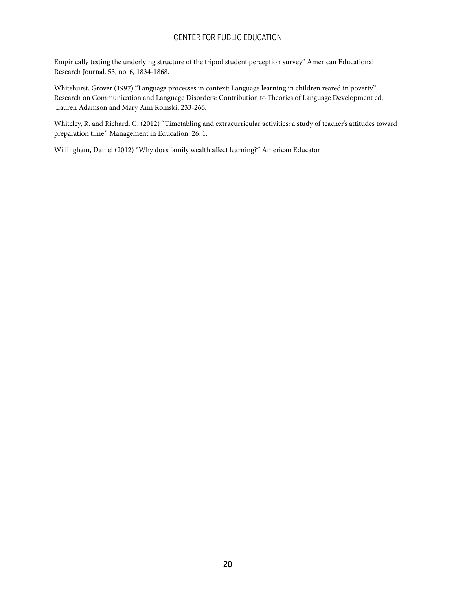Empirically testing the underlying structure of the tripod student perception survey" American Educational Research Journal. 53, no. 6, 1834-1868.

Whitehurst, Grover (1997) "Language processes in context: Language learning in children reared in poverty" Research on Communication and Language Disorders: Contribution to Theories of Language Development ed. Lauren Adamson and Mary Ann Romski, 233-266.

Whiteley, R. and Richard, G. (2012) "Timetabling and extracurricular activities: a study of teacher's attitudes toward preparation time." Management in Education. 26, 1.

Willingham, Daniel (2012) "Why does family wealth affect learning?" American Educator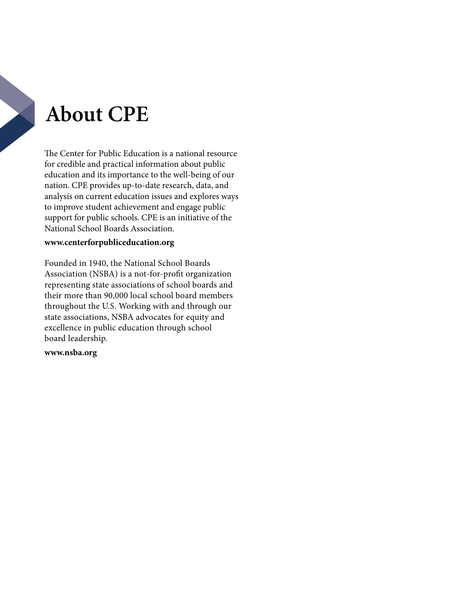# **About CPE**

The Center for Public Education is a national resource for credible and practical information about public education and its importance to the well-being of our nation. CPE provides up-to-date research, data, and analysis on current education issues and explores ways to improve student achievement and engage public support for public schools. CPE is an initiative of the National School Boards Association.

#### **<www.centerforpubliceducation.org>**

Founded in 1940, the National School Boards Association (NSBA) is a not-for-profit organization representing state associations of school boards and their more than 90,000 local school board members throughout the U.S. Working with and through our state associations, NSBA advocates for equity and excellence in public education through school board leadership.

#### **<www.nsba.org>**